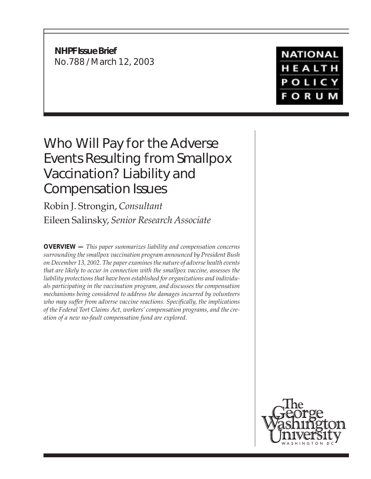**NHPF Issue Brief** No.788 / March 12, 2003

**NATIONAL** HEALTH **POLICY FORUM** 

## Who Will Pay for the Adverse Events Resulting from Smallpox Vaccination? Liability and Compensation Issues

Robin J. Strongin, *Consultant* Eileen Salinsky, *Senior Research Associate*

**OVERVIEW —** *This paper summarizes liability and compensation concerns surrounding the smallpox vaccination program announced by President Bush on December 13, 2002. The paper examines the nature of adverse health events that are likely to occur in connection with the smallpox vaccine, assesses the liability protections that have been established for organizations and individuals participating in the vaccination program, and discusses the compensation mechanisms being considered to address the damages incurred by volunteers who may suffer from adverse vaccine reactions. Specifically, the implications of the Federal Tort Claims Act, workers' compensation programs, and the creation of a new no-fault compensation fund are explored.*

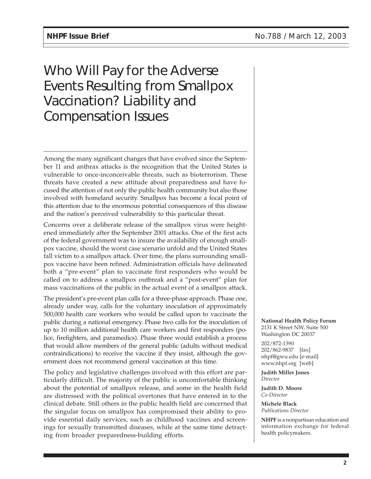# Who Will Pay for the Adverse Events Resulting from Smallpox Vaccination? Liability and Compensation Issues

Among the many significant changes that have evolved since the September 11 and anthrax attacks is the recognition that the United States is vulnerable to once-inconceivable threats, such as bioterrorism. These threats have created a new attitude about preparedness and have focused the attention of not only the public health community but also those involved with homeland security. Smallpox has become a focal point of this attention due to the enormous potential consequences of this disease and the nation's perceived vulnerability to this particular threat.

Concerns over a deliberate release of the smallpox virus were heightened immediately after the September 2001 attacks. One of the first acts of the federal government was to insure the availability of enough smallpox vaccine, should the worst case scenario unfold and the United States fall victim to a smallpox attack. Over time, the plans surrounding smallpox vaccine have been refined. Administration officials have delineated both a "pre-event" plan to vaccinate first responders who would be called on to address a smallpox outbreak and a "post-event" plan for mass vaccinations of the public in the actual event of a smallpox attack.

The president's pre-event plan calls for a three-phase approach. Phase one, already under way, calls for the voluntary inoculation of approximately 500,000 health care workers who would be called upon to vaccinate the public during a national emergency. Phase two calls for the inoculation of up to 10 million additional health care workers and first responders (police, firefighters, and paramedics). Phase three would establish a process that would allow members of the general public (adults without medical contraindications) to receive the vaccine if they insist, although the government does not recommend general vaccination at this time.

The policy and legislative challenges involved with this effort are particularly difficult. The majority of the public is uncomfortable thinking about the potential of smallpox release, and some in the health field are distressed with the political overtones that have entered in to the clinical debate. Still others in the public health field are concerned that the singular focus on smallpox has compromised their ability to provide essential daily services, such as childhood vaccines and screenings for sexually transmitted diseases, while at the same time detracting from broader preparedness-building efforts.

**National Health Policy Forum** 2131 K Street NW, Suite 500 Washington DC 20037

202/872-1390 202/862-9837 [fax] nhpf@gwu.edu [e-mail] www.nhpf.org [web]

**Judith Miller Jones** *Director*

**Judith D. Moore** *Co-Director*

**Michele Black** *Publications Director*

**NHPF** is a nonpartisan education and information exchange for federal health policymakers.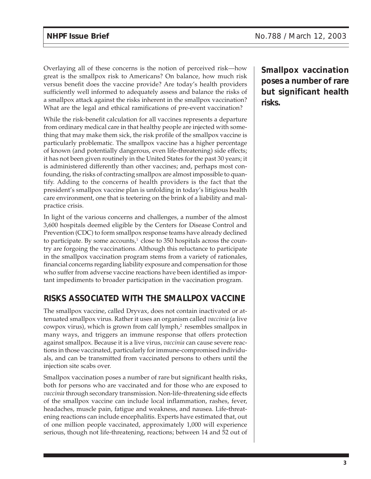Overlaying all of these concerns is the notion of perceived risk—how great is the smallpox risk to Americans? On balance, how much risk versus benefit does the vaccine provide? Are today's health providers sufficiently well informed to adequately assess and balance the risks of a smallpox attack against the risks inherent in the smallpox vaccination? What are the legal and ethical ramifications of pre-event vaccination?

While the risk-benefit calculation for all vaccines represents a departure from ordinary medical care in that healthy people are injected with something that may make them sick, the risk profile of the smallpox vaccine is particularly problematic. The smallpox vaccine has a higher percentage of known (and potentially dangerous, even life-threatening) side effects; it has not been given routinely in the United States for the past 30 years; it is administered differently than other vaccines; and, perhaps most confounding, the risks of contracting smallpox are almost impossible to quantify. Adding to the concerns of health providers is the fact that the president's smallpox vaccine plan is unfolding in today's litigious health care environment, one that is teetering on the brink of a liability and malpractice crisis.

In light of the various concerns and challenges, a number of the almost 3,600 hospitals deemed eligible by the Centers for Disease Control and Prevention (CDC) to form smallpox response teams have already declined to participate. By some accounts, $1$  close to 350 hospitals across the country are forgoing the vaccinations. Although this reluctance to participate in the smallpox vaccination program stems from a variety of rationales, financial concerns regarding liability exposure and compensation for those who suffer from adverse vaccine reactions have been identified as important impediments to broader participation in the vaccination program.

## **RISKS ASSOCIATED WITH THE SMALLPOX VACCINE**

The smallpox vaccine, called Dryvax, does not contain inactivated or attenuated smallpox virus. Rather it uses an organism called *vaccinia* (a live cowpox virus), which is grown from calf lymph, $\alpha$  resembles smallpox in many ways, and triggers an immune response that offers protection against smallpox. Because it is a live virus, *vaccinia* can cause severe reactions in those vaccinated, particularly for immune-compromised individuals, and can be transmitted from vaccinated persons to others until the injection site scabs over.

Smallpox vaccination poses a number of rare but significant health risks, both for persons who are vaccinated and for those who are exposed to *vaccinia* through secondary transmission. Non-life-threatening side effects of the smallpox vaccine can include local inflammation, rashes, fever, headaches, muscle pain, fatigue and weakness, and nausea. Life-threatening reactions can include encephalitis. Experts have estimated that, out of one million people vaccinated, approximately 1,000 will experience serious, though not life-threatening, reactions; between 14 and 52 out of **Smallpox vaccination poses a number of rare but significant health risks.**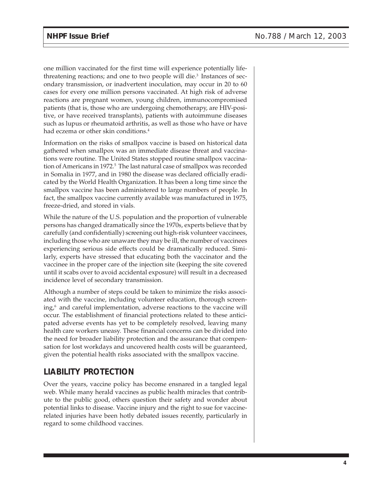one million vaccinated for the first time will experience potentially lifethreatening reactions; and one to two people will die.<sup>3</sup> Instances of secondary transmission, or inadvertent inoculation, may occur in 20 to 60 cases for every one million persons vaccinated. At high risk of adverse reactions are pregnant women, young children, immunocompromised patients (that is, those who are undergoing chemotherapy, are HIV-positive, or have received transplants), patients with autoimmune diseases such as lupus or rheumatoid arthritis, as well as those who have or have had eczema or other skin conditions.<sup>4</sup>

Information on the risks of smallpox vaccine is based on historical data gathered when smallpox was an immediate disease threat and vaccinations were routine. The United States stopped routine smallpox vaccination of Americans in 1972.<sup>5</sup> The last natural case of smallpox was recorded in Somalia in 1977, and in 1980 the disease was declared officially eradicated by the World Health Organization. It has been a long time since the smallpox vaccine has been administered to large numbers of people. In fact, the smallpox vaccine currently available was manufactured in 1975, freeze-dried, and stored in vials.

While the nature of the U.S. population and the proportion of vulnerable persons has changed dramatically since the 1970s, experts believe that by carefully (and confidentially) screening out high-risk volunteer vaccinees, including those who are unaware they may be ill, the number of vaccinees experiencing serious side effects could be dramatically reduced. Similarly, experts have stressed that educating both the vaccinator and the vaccinee in the proper care of the injection site (keeping the site covered until it scabs over to avoid accidental exposure) will result in a decreased incidence level of secondary transmission.

Although a number of steps could be taken to minimize the risks associated with the vaccine, including volunteer education, thorough screening, $6$  and careful implementation, adverse reactions to the vaccine will occur. The establishment of financial protections related to these anticipated adverse events has yet to be completely resolved, leaving many health care workers uneasy. These financial concerns can be divided into the need for broader liability protection and the assurance that compensation for lost workdays and uncovered health costs will be guaranteed, given the potential health risks associated with the smallpox vaccine.

## **LIABILITY PROTECTION**

Over the years, vaccine policy has become ensnared in a tangled legal web. While many herald vaccines as public health miracles that contribute to the public good, others question their safety and wonder about potential links to disease. Vaccine injury and the right to sue for vaccinerelated injuries have been hotly debated issues recently, particularly in regard to some childhood vaccines.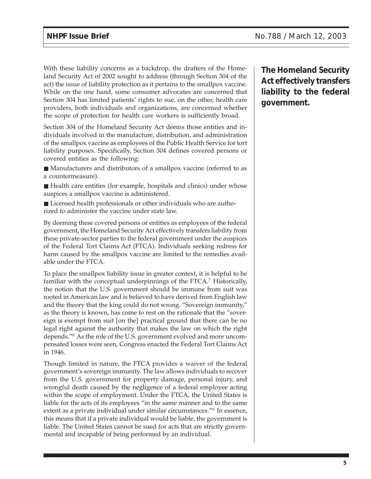With these liability concerns as a backdrop, the drafters of the Homeland Security Act of 2002 sought to address (through Section 304 of the act) the issue of liability protection as it pertains to the smallpox vaccine. While on the one hand, some consumer advocates are concerned that Section 304 has limited patients' rights to sue, on the other, health care providers, both individuals and organizations, are concerned whether the scope of protection for health care workers is sufficiently broad.

Section 304 of the Homeland Security Act deems those entities and individuals involved in the manufacture, distribution, and administration of the smallpox vaccine as employees of the Public Health Service for tort liability purposes. Specifically, Section 304 defines covered persons or covered entities as the following:

- Manufacturers and distributors of a smallpox vaccine (referred to as a countermeasure).
- Health care entities (for example, hospitals and clinics) under whose auspices a smallpox vaccine is administered.
- Licensed health professionals or other individuals who are authorized to administer the vaccine under state law.

By deeming these covered persons or entities as employees of the federal government, the Homeland Security Act effectively transfers liability from these private-sector parties to the federal government under the auspices of the Federal Tort Claims Act (FTCA). Individuals seeking redress for harm caused by the smallpox vaccine are limited to the remedies available under the FTCA.

To place the smallpox liability issue in greater context, it is helpful to be familiar with the conceptual underpinnings of the  $FTCA$ <sup>7</sup> Historically, the notion that the U.S. government should be immune from suit was rooted in American law and is believed to have derived from English law and the theory that the king could do not wrong. "Sovereign immunity," as the theory is known, has come to rest on the rationale that the "sovereign is exempt from suit [on the] practical ground that there can be no legal right against the authority that makes the law on which the right depends."8 As the role of the U.S. government evolved and more uncompensated losses were seen, Congress enacted the Federal Tort Claims Act in 1946.

Though limited in nature, the FTCA provides a waiver of the federal government's sovereign immunity. The law allows individuals to recover from the U.S. government for property damage, personal injury, and wrongful death caused by the negligence of a federal employee acting within the scope of employment. Under the FTCA, the United States is liable for the acts of its employees "in the same manner and to the same extent as a private individual under similar circumstances."9 In essence, this means that if a private individual would be liable, the government is liable. The United States cannot be sued for acts that are strictly governmental and incapable of being performed by an individual.

**The Homeland Security Act effectively transfers liability to the federal government.**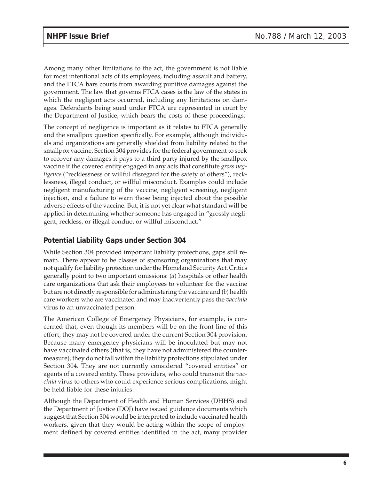Among many other limitations to the act, the government is not liable for most intentional acts of its employees, including assault and battery, and the FTCA bars courts from awarding punitive damages against the government. The law that governs FTCA cases is the law of the states in which the negligent acts occurred, including any limitations on damages. Defendants being sued under FTCA are represented in court by the Department of Justice, which bears the costs of these proceedings.

The concept of negligence is important as it relates to FTCA generally and the smallpox question specifically. For example, although individuals and organizations are generally shielded from liability related to the smallpox vaccine, Section 304 provides for the federal government to seek to recover any damages it pays to a third party injured by the smallpox vaccine if the covered entity engaged in any acts that constitute *gross negligence* ("recklessness or willful disregard for the safety of others"), recklessness, illegal conduct, or willful misconduct. Examples could include negligent manufacturing of the vaccine, negligent screening, negligent injection, and a failure to warn those being injected about the possible adverse effects of the vaccine. But, it is not yet clear what standard will be applied in determining whether someone has engaged in "grossly negligent, reckless, or illegal conduct or willful misconduct."

### **Potential Liability Gaps under Section 304**

While Section 304 provided important liability protections, gaps still remain. There appear to be classes of sponsoring organizations that may not qualify for liability protection under the Homeland Security Act. Critics generally point to two important omissions: (*a*) hospitals or other health care organizations that ask their employees to volunteer for the vaccine but are not directly responsible for administering the vaccine and (*b*) health care workers who are vaccinated and may inadvertently pass the *vaccinia* virus to an unvaccinated person.

The American College of Emergency Physicians, for example, is concerned that, even though its members will be on the front line of this effort, they may not be covered under the current Section 304 provision. Because many emergency physicians will be inoculated but may not have vaccinated others (that is, they have not administered the countermeasure), they do not fall within the liability protections stipulated under Section 304. They are not currently considered "covered entities" or agents of a covered entity. These providers, who could transmit the *vaccinia* virus to others who could experience serious complications, might be held liable for these injuries.

Although the Department of Health and Human Services (DHHS) and the Department of Justice (DOJ) have issued guidance documents which suggest that Section 304 would be interpreted to include vaccinated health workers, given that they would be acting within the scope of employment defined by covered entities identified in the act, many provider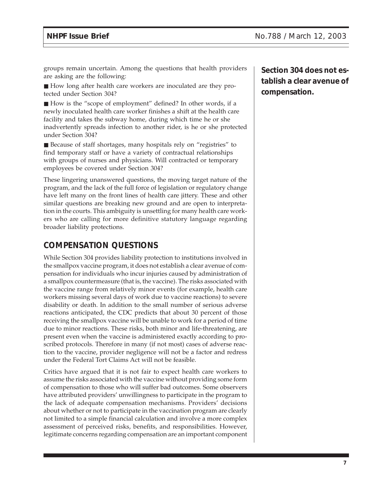groups remain uncertain. Among the questions that health providers are asking are the following:

■ How long after health care workers are inoculated are they protected under Section 304?

■ How is the "scope of employment" defined? In other words, if a newly inoculated health care worker finishes a shift at the health care facility and takes the subway home, during which time he or she inadvertently spreads infection to another rider, is he or she protected under Section 304?

■ Because of staff shortages, many hospitals rely on "registries" to find temporary staff or have a variety of contractual relationships with groups of nurses and physicians. Will contracted or temporary employees be covered under Section 304?

These lingering unanswered questions, the moving target nature of the program, and the lack of the full force of legislation or regulatory change have left many on the front lines of health care jittery. These and other similar questions are breaking new ground and are open to interpretation in the courts. This ambiguity is unsettling for many health care workers who are calling for more definitive statutory language regarding broader liability protections.

## **COMPENSATION QUESTIONS**

While Section 304 provides liability protection to institutions involved in the smallpox vaccine program, it does not establish a clear avenue of compensation for individuals who incur injuries caused by administration of a smallpox countermeasure (that is, the vaccine). The risks associated with the vaccine range from relatively minor events (for example, health care workers missing several days of work due to vaccine reactions) to severe disability or death. In addition to the small number of serious adverse reactions anticipated, the CDC predicts that about 30 percent of those receiving the smallpox vaccine will be unable to work for a period of time due to minor reactions. These risks, both minor and life-threatening, are present even when the vaccine is administered exactly according to proscribed protocols. Therefore in many (if not most) cases of adverse reaction to the vaccine, provider negligence will not be a factor and redress under the Federal Tort Claims Act will not be feasible.

Critics have argued that it is not fair to expect health care workers to assume the risks associated with the vaccine without providing some form of compensation to those who will suffer bad outcomes. Some observers have attributed providers' unwillingness to participate in the program to the lack of adequate compensation mechanisms. Providers' decisions about whether or not to participate in the vaccination program are clearly not limited to a simple financial calculation and involve a more complex assessment of perceived risks, benefits, and responsibilities. However, legitimate concerns regarding compensation are an important component

**Section 304 does not establish a clear avenue of compensation.**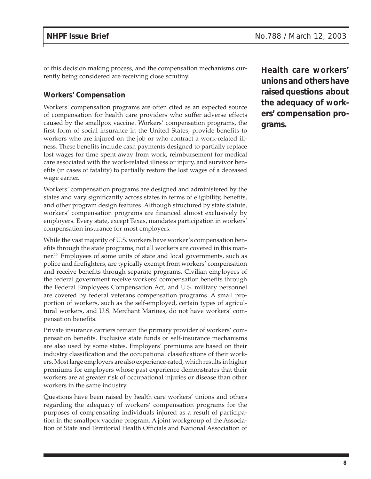of this decision making process, and the compensation mechanisms currently being considered are receiving close scrutiny.

### **Workers' Compensation**

Workers' compensation programs are often cited as an expected source of compensation for health care providers who suffer adverse effects caused by the smallpox vaccine. Workers' compensation programs, the first form of social insurance in the United States, provide benefits to workers who are injured on the job or who contract a work-related illness. These benefits include cash payments designed to partially replace lost wages for time spent away from work, reimbursement for medical care associated with the work-related illness or injury, and survivor benefits (in cases of fatality) to partially restore the lost wages of a deceased wage earner.

Workers' compensation programs are designed and administered by the states and vary significantly across states in terms of eligibility, benefits, and other program design features. Although structured by state statute, workers' compensation programs are financed almost exclusively by employers. Every state, except Texas, mandates participation in workers' compensation insurance for most employers.

While the vast majority of U.S. workers have worker's compensation benefits through the state programs, not all workers are covered in this manner.10 Employees of some units of state and local governments, such as police and firefighters, are typically exempt from workers' compensation and receive benefits through separate programs. Civilian employees of the federal government receive workers' compensation benefits through the Federal Employees Compensation Act, and U.S. military personnel are covered by federal veterans compensation programs. A small proportion of workers, such as the self-employed, certain types of agricultural workers, and U.S. Merchant Marines, do not have workers' compensation benefits.

Private insurance carriers remain the primary provider of workers' compensation benefits. Exclusive state funds or self-insurance mechanisms are also used by some states. Employers' premiums are based on their industry classification and the occupational classifications of their workers. Most large employers are also experience-rated, which results in higher premiums for employers whose past experience demonstrates that their workers are at greater risk of occupational injuries or disease than other workers in the same industry.

Questions have been raised by health care workers' unions and others regarding the adequacy of workers' compensation programs for the purposes of compensating individuals injured as a result of participation in the smallpox vaccine program. A joint workgroup of the Association of State and Territorial Health Officials and National Association of **Health care workers' unions and others have raised questions about the adequacy of workers' compensation programs.**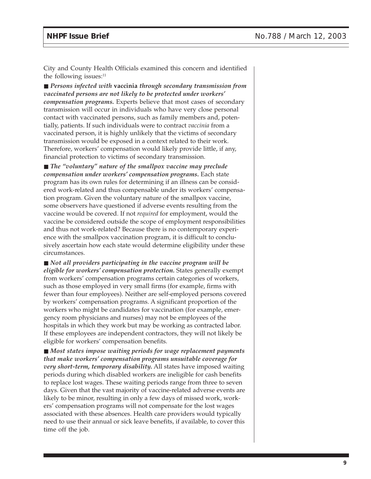City and County Health Officials examined this concern and identified the following issues: $11$ 

■ *Persons infected with vaccinia through secondary transmission from vaccinated persons are not likely to be protected under workers' compensation programs.* Experts believe that most cases of secondary transmission will occur in individuals who have very close personal contact with vaccinated persons, such as family members and, potentially, patients. If such individuals were to contract *vaccinia* from a vaccinated person, it is highly unlikely that the victims of secondary transmission would be exposed in a context related to their work. Therefore, workers' compensation would likely provide little, if any, financial protection to victims of secondary transmission.

■ *The "voluntary" nature of the smallpox vaccine may preclude compensation under workers' compensation programs.* Each state program has its own rules for determining if an illness can be considered work-related and thus compensable under its workers' compensation program. Given the voluntary nature of the smallpox vaccine, some observers have questioned if adverse events resulting from the vaccine would be covered. If not *required* for employment, would the vaccine be considered outside the scope of employment responsibilities and thus not work-related? Because there is no contemporary experience with the smallpox vaccination program, it is difficult to conclusively ascertain how each state would determine eligibility under these circumstances.

■ *Not all providers participating in the vaccine program will be eligible for workers' compensation protection.* States generally exempt from workers' compensation programs certain categories of workers, such as those employed in very small firms (for example, firms with fewer than four employees). Neither are self-employed persons covered by workers' compensation programs. A significant proportion of the workers who might be candidates for vaccination (for example, emergency room physicians and nurses) may not be employees of the hospitals in which they work but may be working as contracted labor. If these employees are independent contractors, they will not likely be eligible for workers' compensation benefits.

■ *Most states impose waiting periods for wage replacement payments that make workers' compensation programs unsuitable coverage for very short-term, temporary disability.* All states have imposed waiting periods during which disabled workers are ineligible for cash benefits to replace lost wages. These waiting periods range from three to seven days. Given that the vast majority of vaccine-related adverse events are likely to be minor, resulting in only a few days of missed work, workers' compensation programs will not compensate for the lost wages associated with these absences. Health care providers would typically need to use their annual or sick leave benefits, if available, to cover this time off the job.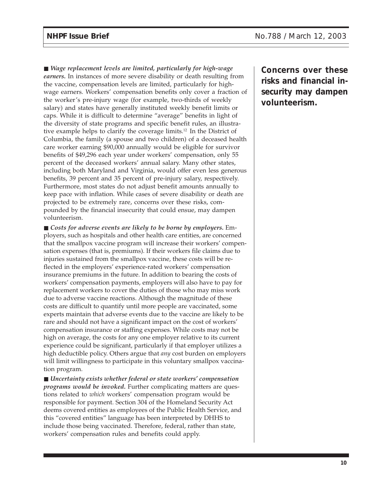■ *Wage replacement levels are limited, particularly for high-wage earners.* In instances of more severe disability or death resulting from the vaccine, compensation levels are limited, particularly for highwage earners. Workers' compensation benefits only cover a fraction of the worker's pre-injury wage (for example, two-thirds of weekly salary) and states have generally instituted weekly benefit limits or caps. While it is difficult to determine "average" benefits in light of the diversity of state programs and specific benefit rules, an illustrative example helps to clarify the coverage limits.12 In the District of Columbia, the family (a spouse and two children) of a deceased health care worker earning \$90,000 annually would be eligible for survivor benefits of \$49,296 each year under workers' compensation, only 55 percent of the deceased workers' annual salary. Many other states, including both Maryland and Virginia, would offer even less generous benefits, 39 percent and 35 percent of pre-injury salary, respectively. Furthermore, most states do not adjust benefit amounts annually to keep pace with inflation. While cases of severe disability or death are projected to be extremely rare, concerns over these risks, compounded by the financial insecurity that could ensue, may dampen volunteerism.

■ *Costs for adverse events are likely to be borne by employers.* Employers, such as hospitals and other health care entities, are concerned that the smallpox vaccine program will increase their workers' compensation expenses (that is, premiums). If their workers file claims due to injuries sustained from the smallpox vaccine, these costs will be reflected in the employers' experience-rated workers' compensation insurance premiums in the future. In addition to bearing the costs of workers' compensation payments, employers will also have to pay for replacement workers to cover the duties of those who may miss work due to adverse vaccine reactions. Although the magnitude of these costs are difficult to quantify until more people are vaccinated, some experts maintain that adverse events due to the vaccine are likely to be rare and should not have a significant impact on the cost of workers' compensation insurance or staffing expenses. While costs may not be high on average, the costs for any one employer relative to its current experience could be significant, particularly if that employer utilizes a high deductible policy. Others argue that *any* cost burden on employers will limit willingness to participate in this voluntary smallpox vaccination program.

■ *Uncertainty exists whether federal or state workers' compensation programs would be invoked.* Further complicating matters are questions related to *which* workers' compensation program would be responsible for payment. Section 304 of the Homeland Security Act deems covered entities as employees of the Public Health Service, and this "covered entities" language has been interpreted by DHHS to include those being vaccinated. Therefore, federal, rather than state, workers' compensation rules and benefits could apply.

**Concerns over these risks and financial insecurity may dampen volunteerism.**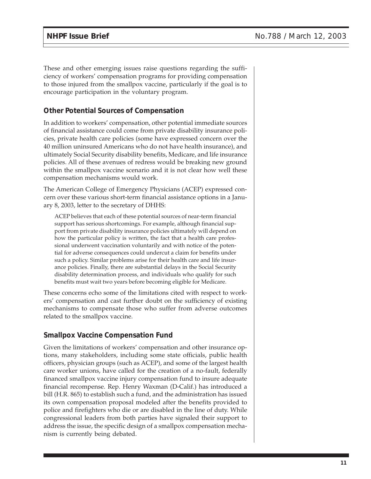These and other emerging issues raise questions regarding the sufficiency of workers' compensation programs for providing compensation to those injured from the smallpox vaccine, particularly if the goal is to encourage participation in the voluntary program.

#### **Other Potential Sources of Compensation**

In addition to workers' compensation, other potential immediate sources of financial assistance could come from private disability insurance policies, private health care policies (some have expressed concern over the 40 million uninsured Americans who do not have health insurance), and ultimately Social Security disability benefits, Medicare, and life insurance policies. All of these avenues of redress would be breaking new ground within the smallpox vaccine scenario and it is not clear how well these compensation mechanisms would work.

The American College of Emergency Physicians (ACEP) expressed concern over these various short-term financial assistance options in a January 8, 2003, letter to the secretary of DHHS:

ACEP believes that each of these potential sources of near-term financial support has serious shortcomings. For example, although financial support from private disability insurance policies ultimately will depend on how the particular policy is written, the fact that a health care professional underwent vaccination voluntarily and with notice of the potential for adverse consequences could undercut a claim for benefits under such a policy. Similar problems arise for their health care and life insurance policies. Finally, there are substantial delays in the Social Security disability determination process, and individuals who qualify for such benefits must wait two years before becoming eligible for Medicare.

These concerns echo some of the limitations cited with respect to workers' compensation and cast further doubt on the sufficiency of existing mechanisms to compensate those who suffer from adverse outcomes related to the smallpox vaccine.

#### **Smallpox Vaccine Compensation Fund**

Given the limitations of workers' compensation and other insurance options, many stakeholders, including some state officials, public health officers, physician groups (such as ACEP), and some of the largest health care worker unions, have called for the creation of a no-fault, federally financed smallpox vaccine injury compensation fund to insure adequate financial recompense. Rep. Henry Waxman (D-Calif.) has introduced a bill (H.R. 865) to establish such a fund, and the administration has issued its own compensation proposal modeled after the benefits provided to police and firefighters who die or are disabled in the line of duty. While congressional leaders from both parties have signaled their support to address the issue, the specific design of a smallpox compensation mechanism is currently being debated.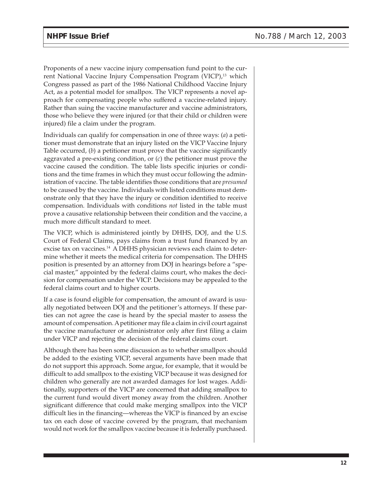Proponents of a new vaccine injury compensation fund point to the current National Vaccine Injury Compensation Program (VICP),<sup>13</sup> which Congress passed as part of the 1986 National Childhood Vaccine Injury Act, as a potential model for smallpox. The VICP represents a novel approach for compensating people who suffered a vaccine-related injury. Rather than suing the vaccine manufacturer and vaccine administrators, those who believe they were injured (or that their child or children were injured) file a claim under the program.

Individuals can qualify for compensation in one of three ways: (*a*) a petitioner must demonstrate that an injury listed on the VICP Vaccine Injury Table occurred, (*b*) a petitioner must prove that the vaccine significantly aggravated a pre-existing condition, or (*c*) the petitioner must prove the vaccine caused the condition. The table lists specific injuries or conditions and the time frames in which they must occur following the administration of vaccine. The table identifies those conditions that are *presumed* to be caused by the vaccine. Individuals with listed conditions must demonstrate only that they have the injury or condition identified to receive compensation. Individuals with conditions *not* listed in the table must prove a causative relationship between their condition and the vaccine, a much more difficult standard to meet.

The VICP, which is administered jointly by DHHS, DOJ, and the U.S. Court of Federal Claims, pays claims from a trust fund financed by an excise tax on vaccines.<sup>14</sup> A DHHS physician reviews each claim to determine whether it meets the medical criteria for compensation. The DHHS position is presented by an attorney from DOJ in hearings before a "special master," appointed by the federal claims court, who makes the decision for compensation under the VICP. Decisions may be appealed to the federal claims court and to higher courts.

If a case is found eligible for compensation, the amount of award is usually negotiated between DOJ and the petitioner's attorneys. If these parties can not agree the case is heard by the special master to assess the amount of compensation. A petitioner may file a claim in civil court against the vaccine manufacturer or administrator only after first filing a claim under VICP and rejecting the decision of the federal claims court.

Although there has been some discussion as to whether smallpox should be added to the existing VICP, several arguments have been made that do not support this approach. Some argue, for example, that it would be difficult to add smallpox to the existing VICP because it was designed for children who generally are not awarded damages for lost wages. Additionally, supporters of the VICP are concerned that adding smallpox to the current fund would divert money away from the children. Another significant difference that could make merging smallpox into the VICP difficult lies in the financing—whereas the VICP is financed by an excise tax on each dose of vaccine covered by the program, that mechanism would not work for the smallpox vaccine because it is federally purchased.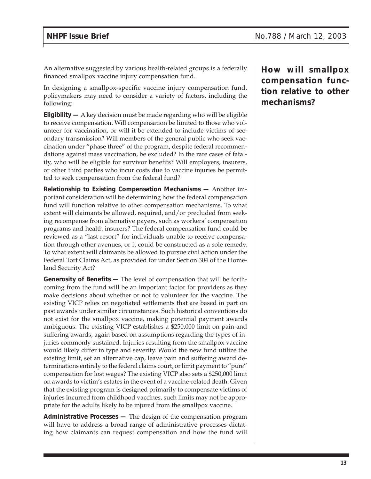An alternative suggested by various health-related groups is a federally financed smallpox vaccine injury compensation fund.

In designing a smallpox-specific vaccine injury compensation fund, policymakers may need to consider a variety of factors, including the following:

**Eligibility —** A key decision must be made regarding who will be eligible to receive compensation. Will compensation be limited to those who volunteer for vaccination, or will it be extended to include victims of secondary transmission? Will members of the general public who seek vaccination under "phase three" of the program, despite federal recommendations against mass vaccination, be excluded? In the rare cases of fatality, who will be eligible for survivor benefits? Will employers, insurers, or other third parties who incur costs due to vaccine injuries be permitted to seek compensation from the federal fund?

**Relationship to Existing Compensation Mechanisms —** Another important consideration will be determining how the federal compensation fund will function relative to other compensation mechanisms. To what extent will claimants be allowed, required, and/or precluded from seeking recompense from alternative payers, such as workers' compensation programs and health insurers? The federal compensation fund could be reviewed as a "last resort" for individuals unable to receive compensation through other avenues, or it could be constructed as a sole remedy. To what extent will claimants be allowed to pursue civil action under the Federal Tort Claims Act, as provided for under Section 304 of the Homeland Security Act?

**Generosity of Benefits —** The level of compensation that will be forthcoming from the fund will be an important factor for providers as they make decisions about whether or not to volunteer for the vaccine. The existing VICP relies on negotiated settlements that are based in part on past awards under similar circumstances. Such historical conventions do not exist for the smallpox vaccine, making potential payment awards ambiguous. The existing VICP establishes a \$250,000 limit on pain and suffering awards, again based on assumptions regarding the types of injuries commonly sustained. Injuries resulting from the smallpox vaccine would likely differ in type and severity. Would the new fund utilize the existing limit, set an alternative cap, leave pain and suffering award determinations entirely to the federal claims court, or limit payment to "pure" compensation for lost wages? The existing VICP also sets a \$250,000 limit on awards to victim's estates in the event of a vaccine-related death. Given that the existing program is designed primarily to compensate victims of injuries incurred from childhood vaccines, such limits may not be appropriate for the adults likely to be injured from the smallpox vaccine.

**Administrative Processes —** The design of the compensation program will have to address a broad range of administrative processes dictating how claimants can request compensation and how the fund will **How will smallpox compensation function relative to other mechanisms?**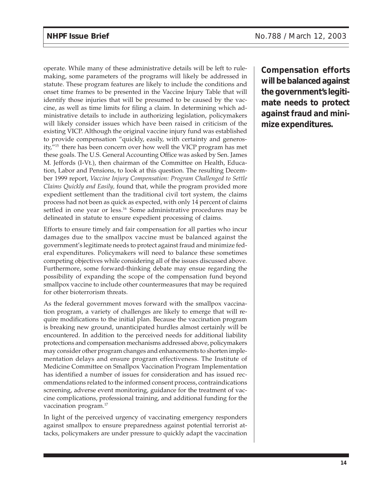operate. While many of these administrative details will be left to rulemaking, some parameters of the programs will likely be addressed in statute. These program features are likely to include the conditions and onset time frames to be presented in the Vaccine Injury Table that will identify those injuries that will be presumed to be caused by the vaccine, as well as time limits for filing a claim. In determining which administrative details to include in authorizing legislation, policymakers will likely consider issues which have been raised in criticism of the existing VICP. Although the original vaccine injury fund was established to provide compensation "quickly, easily, with certainty and generosity,"15 there has been concern over how well the VICP program has met these goals. The U.S. General Accounting Office was asked by Sen. James M. Jeffords (I-Vt.), then chairman of the Committee on Health, Education, Labor and Pensions, to look at this question. The resulting December 1999 report, *Vaccine Injury Compensation: Program Challenged to Settle Claims Quickly and Easily,* found that, while the program provided more expedient settlement than the traditional civil tort system, the claims process had not been as quick as expected, with only 14 percent of claims settled in one year or less.<sup>16</sup> Some administrative procedures may be delineated in statute to ensure expedient processing of claims.

Efforts to ensure timely and fair compensation for all parties who incur damages due to the smallpox vaccine must be balanced against the government's legitimate needs to protect against fraud and minimize federal expenditures. Policymakers will need to balance these sometimes competing objectives while considering all of the issues discussed above. Furthermore, some forward-thinking debate may ensue regarding the possibility of expanding the scope of the compensation fund beyond smallpox vaccine to include other countermeasures that may be required for other bioterrorism threats.

As the federal government moves forward with the smallpox vaccination program, a variety of challenges are likely to emerge that will require modifications to the initial plan. Because the vaccination program is breaking new ground, unanticipated hurdles almost certainly will be encountered. In addition to the perceived needs for additional liability protections and compensation mechanisms addressed above, policymakers may consider other program changes and enhancements to shorten implementation delays and ensure program effectiveness. The Institute of Medicine Committee on Smallpox Vaccination Program Implementation has identified a number of issues for consideration and has issued recommendations related to the informed consent process, contraindications screening, adverse event monitoring, guidance for the treatment of vaccine complications, professional training, and additional funding for the vaccination program.<sup>17</sup>

In light of the perceived urgency of vaccinating emergency responders against smallpox to ensure preparedness against potential terrorist attacks, policymakers are under pressure to quickly adapt the vaccination **Compensation efforts will be balanced against the government's legitimate needs to protect against fraud and minimize expenditures.**